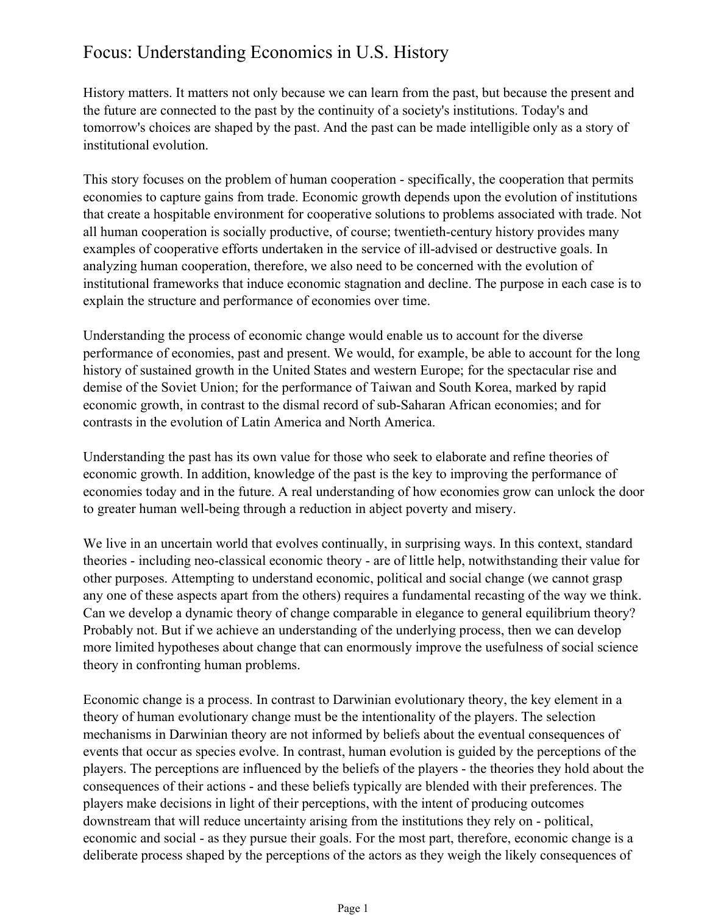## Focus: Understanding Economics in U.S. History

History matters. It matters not only because we can learn from the past, but because the present and the future are connected to the past by the continuity of a society's institutions. Today's and tomorrow's choices are shaped by the past. And the past can be made intelligible only as a story of institutional evolution.

This story focuses on the problem of human cooperation - specifically, the cooperation that permits economies to capture gains from trade. Economic growth depends upon the evolution of institutions that create a hospitable environment for cooperative solutions to problems associated with trade. Not all human cooperation is socially productive, of course; twentieth-century history provides many examples of cooperative efforts undertaken in the service of ill-advised or destructive goals. In analyzing human cooperation, therefore, we also need to be concerned with the evolution of institutional frameworks that induce economic stagnation and decline. The purpose in each case is to explain the structure and performance of economies over time.

Understanding the process of economic change would enable us to account for the diverse performance of economies, past and present. We would, for example, be able to account for the long history of sustained growth in the United States and western Europe; for the spectacular rise and demise of the Soviet Union; for the performance of Taiwan and South Korea, marked by rapid economic growth, in contrast to the dismal record of sub-Saharan African economies; and for contrasts in the evolution of Latin America and North America.

Understanding the past has its own value for those who seek to elaborate and refine theories of economic growth. In addition, knowledge of the past is the key to improving the performance of economies today and in the future. A real understanding of how economies grow can unlock the door to greater human well-being through a reduction in abject poverty and misery.

We live in an uncertain world that evolves continually, in surprising ways. In this context, standard theories - including neo-classical economic theory - are of little help, notwithstanding their value for other purposes. Attempting to understand economic, political and social change (we cannot grasp any one of these aspects apart from the others) requires a fundamental recasting of the way we think. Can we develop a dynamic theory of change comparable in elegance to general equilibrium theory? Probably not. But if we achieve an understanding of the underlying process, then we can develop more limited hypotheses about change that can enormously improve the usefulness of social science theory in confronting human problems.

Economic change is a process. In contrast to Darwinian evolutionary theory, the key element in a theory of human evolutionary change must be the intentionality of the players. The selection mechanisms in Darwinian theory are not informed by beliefs about the eventual consequences of events that occur as species evolve. In contrast, human evolution is guided by the perceptions of the players. The perceptions are influenced by the beliefs of the players - the theories they hold about the consequences of their actions - and these beliefs typically are blended with their preferences. The players make decisions in light of their perceptions, with the intent of producing outcomes downstream that will reduce uncertainty arising from the institutions they rely on - political, economic and social - as they pursue their goals. For the most part, therefore, economic change is a deliberate process shaped by the perceptions of the actors as they weigh the likely consequences of